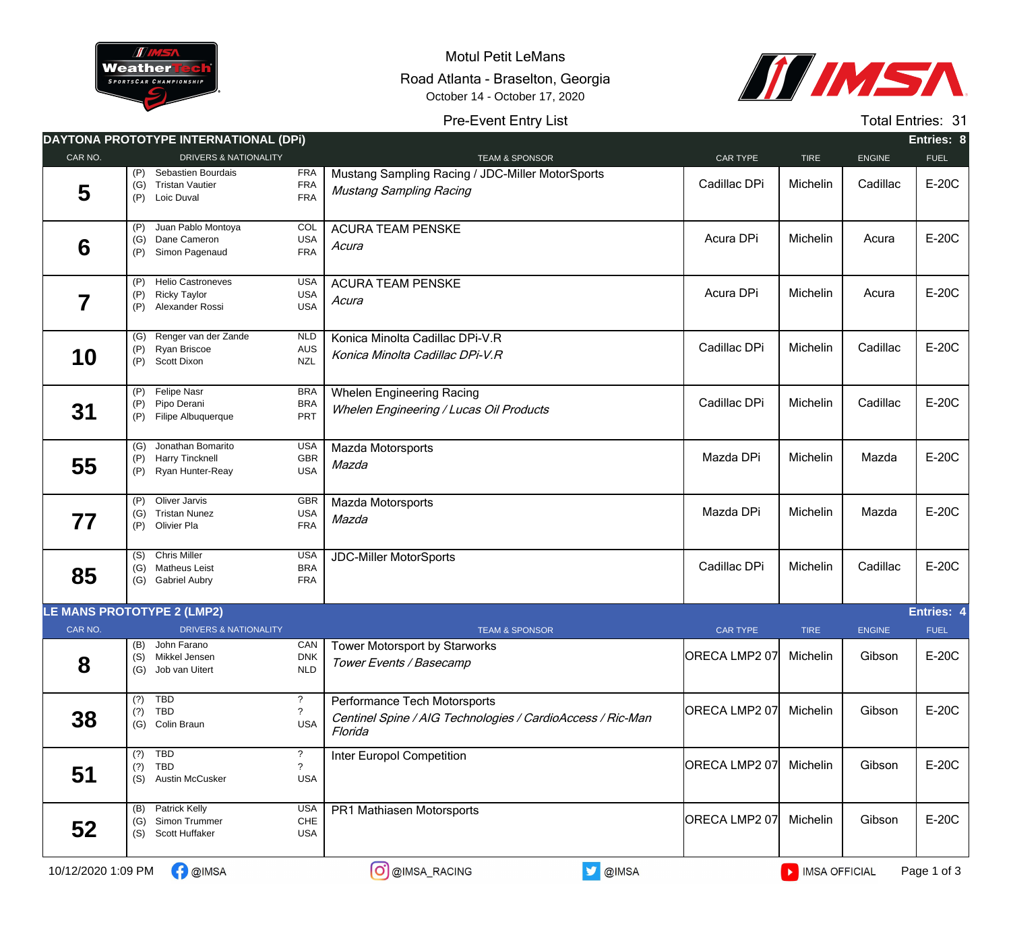

Motul Petit LeMans Road Atlanta - Braselton, Georgia October 14 - October 17, 2020



## Pre-Event Entry List

Total Entries: 31

|                    | DAYTONA PROTOTYPE INTERNATIONAL (DPI)                                                   |                                                      |                                                                                                       |                        |               |               | Entries: 8  |
|--------------------|-----------------------------------------------------------------------------------------|------------------------------------------------------|-------------------------------------------------------------------------------------------------------|------------------------|---------------|---------------|-------------|
| CAR NO.            | <b>DRIVERS &amp; NATIONALITY</b>                                                        |                                                      | <b>TEAM &amp; SPONSOR</b>                                                                             | CAR TYPE               | <b>TIRE</b>   | <b>ENGINE</b> | <b>FUEL</b> |
| 5                  | (P)<br>Sebastien Bourdais<br><b>Tristan Vautier</b><br>(G)<br>Loic Duval<br>(P)         | <b>FRA</b><br><b>FRA</b><br><b>FRA</b>               | Mustang Sampling Racing / JDC-Miller MotorSports<br>Mustang Sampling Racing                           | Cadillac DPi           | Michelin      | Cadillac      | E-20C       |
| 6                  | Juan Pablo Montoya<br>(P)<br>(G) Dane Cameron<br>Simon Pagenaud<br>(P)                  | COL<br><b>USA</b><br><b>FRA</b>                      | <b>ACURA TEAM PENSKE</b><br>Acura                                                                     | Acura DPi              | Michelin      | Acura         | E-20C       |
| 7                  | <b>Helio Castroneves</b><br>(P)<br><b>Ricky Taylor</b><br>(P)<br>(P)<br>Alexander Rossi | <b>USA</b><br><b>USA</b><br><b>USA</b>               | <b>ACURA TEAM PENSKE</b><br>Acura                                                                     | Acura DPi              | Michelin      | Acura         | E-20C       |
| 10                 | (G) Renger van der Zande<br>Ryan Briscoe<br>(P)<br>Scott Dixon<br>(P)                   | <b>NLD</b><br>AUS<br><b>NZL</b>                      | Konica Minolta Cadillac DPi-V.R<br>Konica Minolta Cadillac DPi-V.R                                    | Cadillac DPi           | Michelin      | Cadillac      | E-20C       |
| 31                 | <b>Felipe Nasr</b><br>(P)<br>Pipo Derani<br>(P)<br>(P)<br>Filipe Albuquerque            | <b>BRA</b><br><b>BRA</b><br>PRT                      | <b>Whelen Engineering Racing</b><br><b>Whelen Engineering / Lucas Oil Products</b>                    | Cadillac DPi           | Michelin      | Cadillac      | E-20C       |
| 55                 | Jonathan Bomarito<br>(G)<br><b>Harry Tincknell</b><br>(P)<br>Ryan Hunter-Reay<br>(P)    | <b>USA</b><br>GBR<br><b>USA</b>                      | Mazda Motorsports<br>Mazda                                                                            | Mazda DPi              | Michelin      | Mazda         | E-20C       |
| 77                 | Oliver Jarvis<br>(P)<br><b>Tristan Nunez</b><br>(G)<br>Olivier Pla<br>(P)               | <b>GBR</b><br><b>USA</b><br><b>FRA</b>               | Mazda Motorsports<br>Mazda                                                                            | Mazda DPi              | Michelin      | Mazda         | E-20C       |
| 85                 | <b>Chris Miller</b><br>(S)<br>(G) Matheus Leist<br>(G) Gabriel Aubry                    | <b>USA</b><br><b>BRA</b><br><b>FRA</b>               | <b>JDC-Miller MotorSports</b>                                                                         | Cadillac DPi           | Michelin      | Cadillac      | E-20C       |
|                    | <b>LE MANS PROTOTYPE 2 (LMP2)</b>                                                       |                                                      |                                                                                                       |                        |               |               | Entries: 4  |
| CAR NO.            | <b>DRIVERS &amp; NATIONALITY</b>                                                        |                                                      | <b>TEAM &amp; SPONSOR</b>                                                                             | <b>CAR TYPE</b>        | <b>TIRE</b>   | <b>ENGINE</b> | <b>FUEL</b> |
| 8                  | (B) John Farano<br>(S) Mikkel Jensen<br>(G) Job van Uitert                              | CAN<br>${\sf DNK}$<br><b>NLD</b>                     | Tower Motorsport by Starworks<br>Tower Events / Basecamp                                              | ORECA LMP2 07 Michelin |               | Gibson        | E-20C       |
| 38                 | <b>TBD</b><br>(?)<br><b>TBD</b><br>(?)<br>(G) Colin Braun                               | ?<br>$\boldsymbol{\mathcal{P}}$<br><b>USA</b>        | Performance Tech Motorsports<br>Centinel Spine / AIG Technologies / CardioAccess / Ric-Man<br>Florida | ORECA LMP2 07          | Michelin      | Gibson        | E-20C       |
| 51                 | $(?)$ TBD<br><b>TBD</b><br>(?)<br><b>Austin McCusker</b><br>(S)                         | $\ddot{\phantom{0}}$<br>$\overline{?}$<br><b>USA</b> | Inter Europol Competition                                                                             | ORECA LMP2 07          | Michelin      | Gibson        | E-20C       |
| 52                 | <b>Patrick Kelly</b><br>(B)<br>(G) Simon Trummer<br>Scott Huffaker<br>(S)               | <b>USA</b><br>CHE<br><b>USA</b>                      | PR1 Mathiasen Motorsports                                                                             | ORECA LMP2 07          | Michelin      | Gibson        | E-20C       |
| 10/12/2020 1:09 PM | <b>B</b> @IMSA                                                                          |                                                      | O @IMSA_RACING<br>OIMSA                                                                               |                        | MISA OFFICIAL |               | Page 1 of 3 |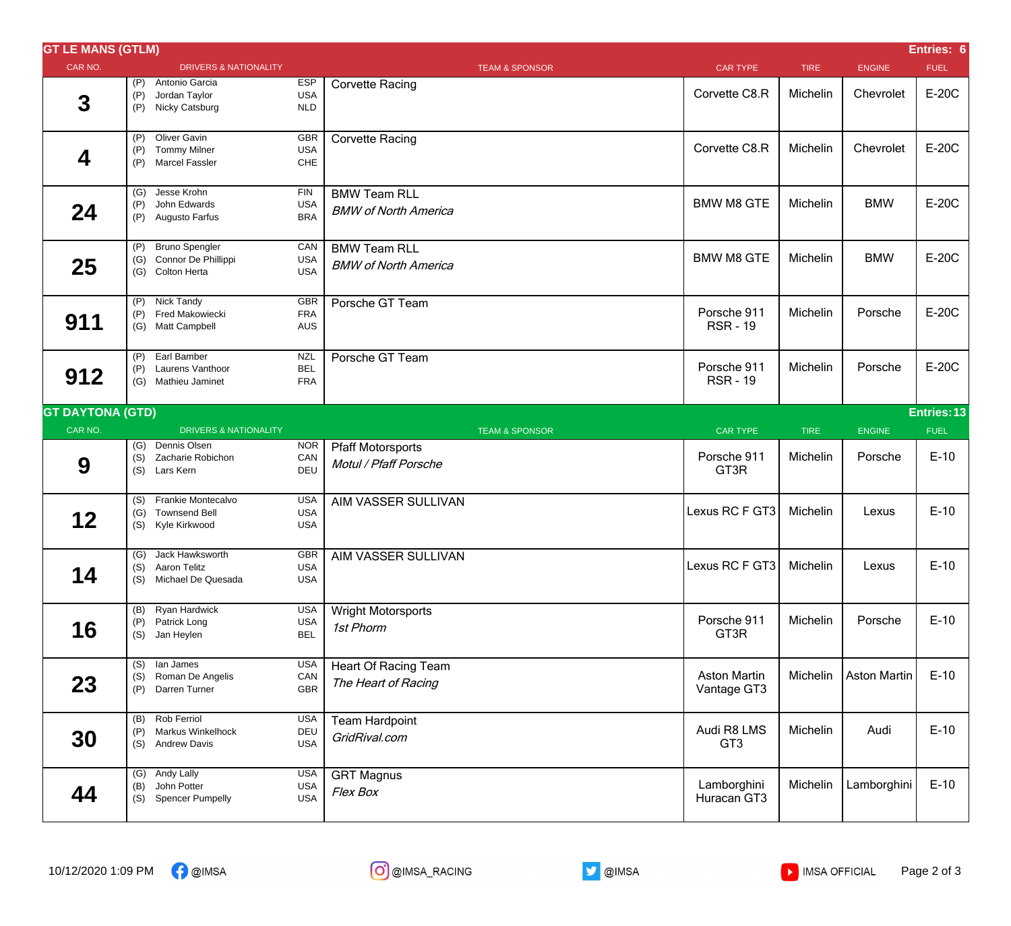| <b>GT LE MANS (GTLM)</b> |                   |                                                                      |                                        |                                                    |                                    |             |                     | Entries: 6  |
|--------------------------|-------------------|----------------------------------------------------------------------|----------------------------------------|----------------------------------------------------|------------------------------------|-------------|---------------------|-------------|
| CAR NO.                  |                   | <b>DRIVERS &amp; NATIONALITY</b>                                     |                                        | <b>TEAM &amp; SPONSOR</b>                          | <b>CAR TYPE</b>                    | <b>TIRE</b> | <b>ENGINE</b>       | <b>FUEL</b> |
| 3                        | (P)<br>(P)<br>(P) | Antonio Garcia<br>Jordan Taylor<br>Nicky Catsburg                    | <b>ESP</b><br><b>USA</b><br><b>NLD</b> | <b>Corvette Racing</b>                             | Corvette C8.R                      | Michelin    | Chevrolet           | E-20C       |
| 4                        | (P)<br>(P)<br>(P) | Oliver Gavin<br><b>Tommy Milner</b><br><b>Marcel Fassler</b>         | GBR<br><b>USA</b><br>CHE               | <b>Corvette Racing</b>                             | Corvette C8.R                      | Michelin    | Chevrolet           | E-20C       |
| 24                       | (G)<br>(P)<br>(P) | Jesse Krohn<br>John Edwards<br>Augusto Farfus                        | <b>FIN</b><br><b>USA</b><br><b>BRA</b> | <b>BMW Team RLL</b><br><b>BMW of North America</b> | <b>BMW M8 GTE</b>                  | Michelin    | <b>BMW</b>          | E-20C       |
| 25                       | (P)<br>(G)        | <b>Bruno Spengler</b><br>Connor De Phillippi<br>(G) Colton Herta     | CAN<br><b>USA</b><br><b>USA</b>        | <b>BMW Team RLL</b><br><b>BMW of North America</b> | <b>BMW M8 GTE</b>                  | Michelin    | <b>BMW</b>          | E-20C       |
| 911                      | (P)<br>(G)        | (P) Nick Tandy<br>Fred Makowiecki<br><b>Matt Campbell</b>            | GBR<br><b>FRA</b><br><b>AUS</b>        | Porsche GT Team                                    | Porsche 911<br><b>RSR-19</b>       | Michelin    | Porsche             | E-20C       |
| 912                      | (P)<br>(P)        | Earl Bamber<br>Laurens Vanthoor<br>(G) Mathieu Jaminet               | <b>NZL</b><br><b>BEL</b><br><b>FRA</b> | Porsche GT Team                                    | Porsche 911<br><b>RSR-19</b>       | Michelin    | Porsche             | E-20C       |
| <b>GT DAYTONA (GTD)</b>  |                   |                                                                      |                                        |                                                    |                                    |             |                     | Entries: 13 |
| CAR NO.                  |                   | <b>DRIVERS &amp; NATIONALITY</b>                                     |                                        | <b>TEAM &amp; SPONSOR</b>                          | <b>CAR TYPE</b>                    | <b>TIRE</b> | <b>ENGINE</b>       | <b>FUEL</b> |
| 9                        | (G)<br>(S)<br>(S) | Dennis Olsen<br>Zacharie Robichon<br>Lars Kern                       | <b>NOR</b><br>CAN<br>DEU               | <b>Pfaff Motorsports</b><br>Motul / Pfaff Porsche  | Porsche 911<br>GT3R                | Michelin    | Porsche             | $E-10$      |
| 12                       | (S)<br>(G)<br>(S) | Frankie Montecalvo<br><b>Townsend Bell</b><br>Kyle Kirkwood          | <b>USA</b><br><b>USA</b><br><b>USA</b> | AIM VASSER SULLIVAN                                | Lexus RC F GT3                     | Michelin    | Lexus               | $E-10$      |
| 14                       | (S)               | (G) Jack Hawksworth<br><b>Aaron Telitz</b><br>(S) Michael De Quesada | GBR<br><b>USA</b><br><b>USA</b>        | AIM VASSER SULLIVAN                                | Lexus RC F GT3                     | Michelin    | Lexus               | $E-10$      |
| 16                       | (B)<br>(P)<br>(S) | Ryan Hardwick<br>Patrick Long<br>Jan Heylen                          | <b>USA</b><br><b>USA</b><br><b>BEL</b> | Wright Motorsports<br>1st Phorm                    | Porsche 911<br>GT3R                | Michelin    | Porsche             | $E-10$      |
| 23                       | (S)<br>(P)        | (S) lan James<br>Roman De Angelis<br>Darren Turner                   | <b>USA</b><br>CAN<br>GBR               | <b>Heart Of Racing Team</b><br>The Heart of Racing | <b>Aston Martin</b><br>Vantage GT3 | Michelin    | <b>Aston Martin</b> | $E-10$      |
| 30                       | (B)<br>(P)<br>(S) | Rob Ferriol<br><b>Markus Winkelhock</b><br><b>Andrew Davis</b>       | <b>USA</b><br>DEU<br><b>USA</b>        | <b>Team Hardpoint</b><br>GridRival.com             | Audi R8 LMS<br>GT <sub>3</sub>     | Michelin    | Audi                | $E-10$      |
| 44                       | (B)<br>(S)        | (G) Andy Lally<br>John Potter<br><b>Spencer Pumpelly</b>             | <b>USA</b><br><b>USA</b><br><b>USA</b> | <b>GRT Magnus</b><br>Flex Box                      | Lamborghini<br>Huracan GT3         | Michelin    | Lamborghini         | $E-10$      |